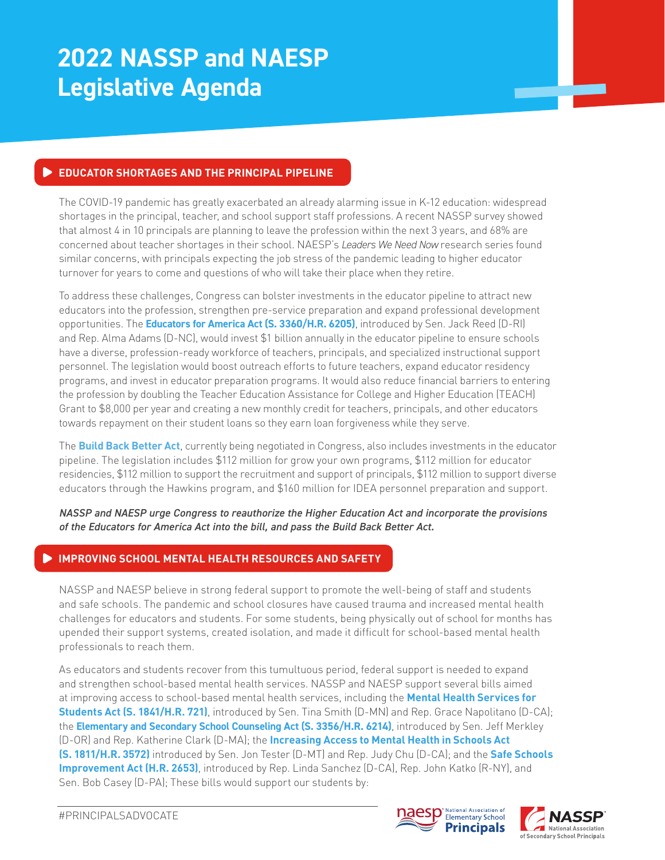# **2022 NASSP and NAESP Legislative Agenda**

## **EDUCATOR SHORTAGES AND THE PRINCIPAL PIPELINE**

The COVID-19 pandemic has greatly exacerbated an already alarming issue in K-12 education: widespread shortages in the principal, teacher, and school support staff professions. A recent NASSP survey showed that almost 4 in 10 principals are planning to leave the profession within the next 3 years, and 68% are concerned about teacher shortages in their school. NAESP's *Leaders We Need Now* research series found similar concerns, with principals expecting the job stress of the pandemic leading to higher educator turnover for years to come and questions of who will take their place when they retire.

To address these challenges, Congress can bolster investments in the educator pipeline to attract new educators into the profession, strengthen pre-service preparation and expand professional development opportunities. The **Educators for America Act (S. 3360/H.R. 6205)**, introduced by Sen. Jack Reed (D-RI) and Rep. Alma Adams (D-NC), would invest \$1 billion annually in the educator pipeline to ensure schools have a diverse, profession-ready workforce of teachers, principals, and specialized instructional support personnel. The legislation would boost outreach efforts to future teachers, expand educator residency programs, and invest in educator preparation programs. It would also reduce financial barriers to entering the profession by doubling the Teacher Education Assistance for College and Higher Education (TEACH) Grant to \$8,000 per year and creating a new monthly credit for teachers, principals, and other educators towards repayment on their student loans so they earn loan forgiveness while they serve.

The **Build Back Better Act**, currently being negotiated in Congress, also includes investments in the educator pipeline. The legislation includes \$112 million for grow your own programs, \$112 million for educator residencies, \$112 million to support the recruitment and support of principals, \$112 million to support diverse educators through the Hawkins program, and \$160 million for IDEA personnel preparation and support.

*NASSP and NAESP urge Congress to reauthorize the Higher Education Act and incorporate the provisions of the Educators for America Act into the bill, and pass the Build Back Better Act.*

## **IMPROVING SCHOOL MENTAL HEALTH RESOURCES AND SAFETY**

NASSP and NAESP believe in strong federal support to promote the well-being of staff and students and safe schools. The pandemic and school closures have caused trauma and increased mental health challenges for educators and students. For some students, being physically out of school for months has upended their support systems, created isolation, and made it difficult for school-based mental health professionals to reach them.

As educators and students recover from this tumultuous period, federal support is needed to expand and strengthen school-based mental health services. NASSP and NAESP support several bills aimed at improving access to school-based mental health services, including the **Mental Health Services for Students Act (S. 1841/H.R. 721)**, introduced by Sen. Tina Smith (D-MN) and Rep. Grace Napolitano (D-CA); the **Elementary and Secondary School Counseling Act (S. 3356/H.R. 6214)**, introduced by Sen. Jeff Merkley (D-OR) and Rep. Katherine Clark (D-MA); the **Increasing Access to Mental Health in Schools Act (S. 1811/H.R. 3572)** introduced by Sen. Jon Tester (D-MT) and Rep. Judy Chu (D-CA); and the **Safe Schools Improvement Act (H.R. 2653)**, introduced by Rep. Linda Sanchez (D-CA), Rep. John Katko (R-NY), and Sen. Bob Casey (D-PA); These bills would support our students by:



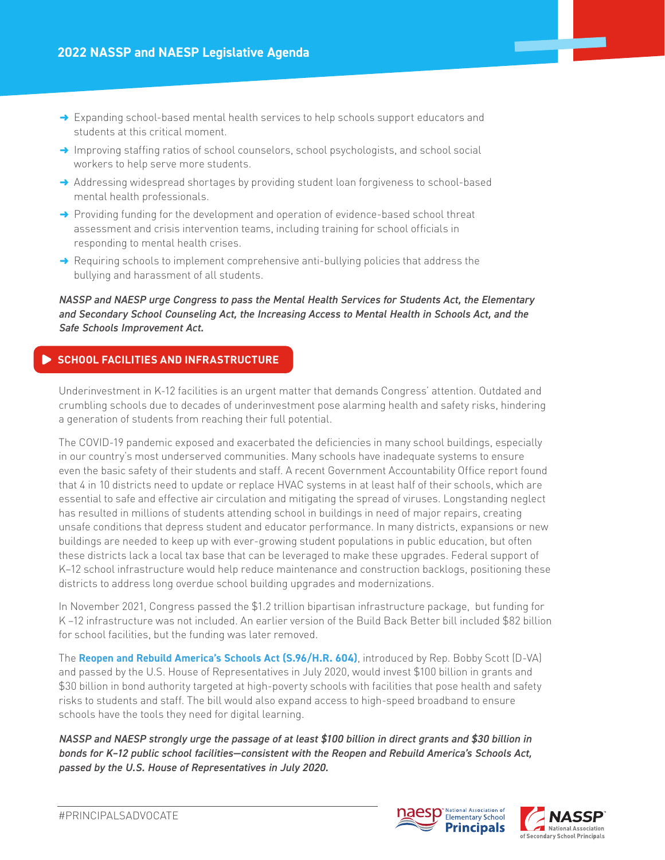- $\rightarrow$  Expanding school-based mental health services to help schools support educators and students at this critical moment.
- $\rightarrow$  Improving staffing ratios of school counselors, school psychologists, and school social workers to help serve more students.
- $\rightarrow$  Addressing widespread shortages by providing student loan forgiveness to school-based mental health professionals.
- $\rightarrow$  Providing funding for the development and operation of evidence-based school threat assessment and crisis intervention teams, including training for school officials in responding to mental health crises.
- $\rightarrow$  Requiring schools to implement comprehensive anti-bullying policies that address the bullying and harassment of all students.

*NASSP and NAESP urge Congress to pass the Mental Health Services for Students Act, the Elementary and Secondary School Counseling Act, the Increasing Access to Mental Health in Schools Act, and the Safe Schools Improvement Act.*

## **SCHOOL FACILITIES AND INFRASTRUCTURE**

Underinvestment in K-12 facilities is an urgent matter that demands Congress' attention. Outdated and crumbling schools due to decades of underinvestment pose alarming health and safety risks, hindering a generation of students from reaching their full potential.

The COVID-19 pandemic exposed and exacerbated the deficiencies in many school buildings, especially in our country's most underserved communities. Many schools have inadequate systems to ensure even the basic safety of their students and staff. A recent Government Accountability Office report found that 4 in 10 districts need to update or replace HVAC systems in at least half of their schools, which are essential to safe and effective air circulation and mitigating the spread of viruses. Longstanding neglect has resulted in millions of students attending school in buildings in need of major repairs, creating unsafe conditions that depress student and educator performance. In many districts, expansions or new buildings are needed to keep up with ever-growing student populations in public education, but often these districts lack a local tax base that can be leveraged to make these upgrades. Federal support of K–12 school infrastructure would help reduce maintenance and construction backlogs, positioning these districts to address long overdue school building upgrades and modernizations.

In November 2021, Congress passed the \$1.2 trillion bipartisan infrastructure package, but funding for K –12 infrastructure was not included. An earlier version of the Build Back Better bill included \$82 billion for school facilities, but the funding was later removed.

The **Reopen and Rebuild America's Schools Act (S.96/H.R. 604)**, introduced by Rep. Bobby Scott (D-VA) and passed by the U.S. House of Representatives in July 2020, would invest \$100 billion in grants and \$30 billion in bond authority targeted at high-poverty schools with facilities that pose health and safety risks to students and staff. The bill would also expand access to high-speed broadband to ensure schools have the tools they need for digital learning.

*NASSP and NAESP strongly urge the passage of at least \$100 billion in direct grants and \$30 billion in bonds for K–12 public school facilities—consistent with the Reopen and Rebuild America's Schools Act, passed by the U.S. House of Representatives in July 2020.*



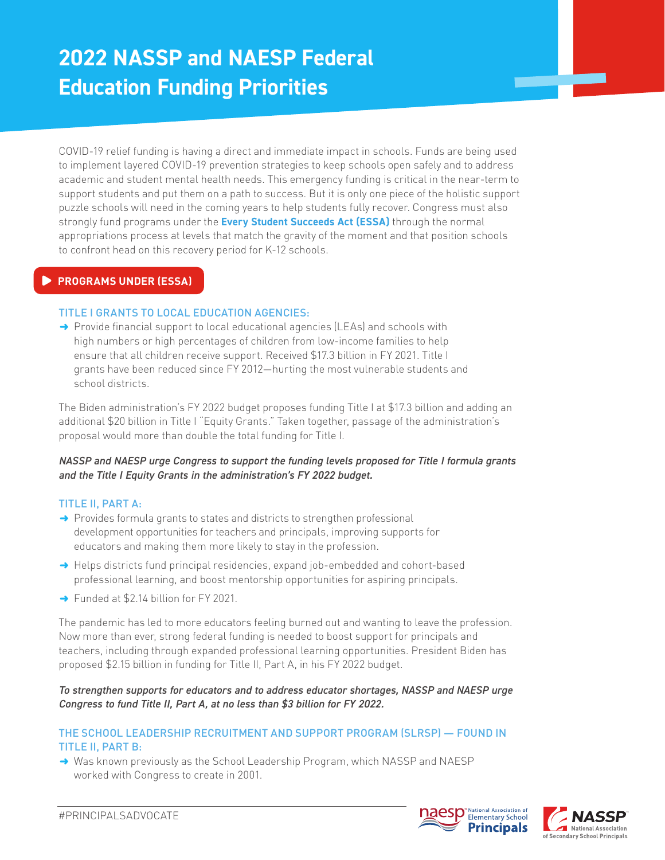## **2022 NASSP and NAESP Federal Education Funding Priorities**

COVID-19 relief funding is having a direct and immediate impact in schools. Funds are being used to implement layered COVID-19 prevention strategies to keep schools open safely and to address academic and student mental health needs. This emergency funding is critical in the near-term to support students and put them on a path to success. But it is only one piece of the holistic support puzzle schools will need in the coming years to help students fully recover. Congress must also strongly fund programs under the **Every Student Succeeds Act (ESSA)** through the normal appropriations process at levels that match the gravity of the moment and that position schools to confront head on this recovery period for K-12 schools.

## **PROGRAMS UNDER (ESSA)**

## TITLE I GRANTS TO LOCAL EDUCATION AGENCIES:

 $\rightarrow$  Provide financial support to local educational agencies (LEAs) and schools with high numbers or high percentages of children from low-income families to help ensure that all children receive support. Received \$17.3 billion in FY 2021. Title I grants have been reduced since FY 2012—hurting the most vulnerable students and school districts.

The Biden administration's FY 2022 budget proposes funding Title I at \$17.3 billion and adding an additional \$20 billion in Title I "Equity Grants." Taken together, passage of the administration's proposal would more than double the total funding for Title I.

## *NASSP and NAESP urge Congress to support the funding levels proposed for Title I formula grants and the Title I Equity Grants in the administration's FY 2022 budget.*

## TITLE II, PART A:

- $\rightarrow$  Provides formula grants to states and districts to strengthen professional development opportunities for teachers and principals, improving supports for educators and making them more likely to stay in the profession.
- → Helps districts fund principal residencies, expand job-embedded and cohort-based professional learning, and boost mentorship opportunities for aspiring principals.
- $\rightarrow$  Funded at \$2.14 billion for FY 2021.

The pandemic has led to more educators feeling burned out and wanting to leave the profession. Now more than ever, strong federal funding is needed to boost support for principals and teachers, including through expanded professional learning opportunities. President Biden has proposed \$2.15 billion in funding for Title II, Part A, in his FY 2022 budget.

## *To strengthen supports for educators and to address educator shortages, NASSP and NAESP urge Congress to fund Title II, Part A, at no less than \$3 billion for FY 2022.*

## THE SCHOOL LEADERSHIP RECRUITMENT AND SUPPORT PROGRAM (SLRSP) — FOUND IN TITLE II, PART B:

→ Was known previously as the School Leadership Program, which NASSP and NAESP worked with Congress to create in 2001.



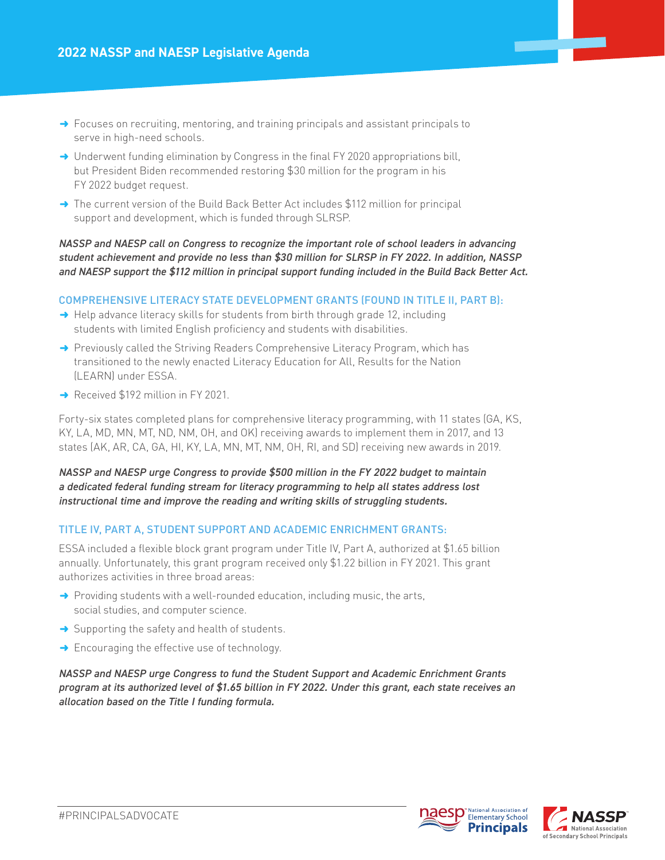- $\rightarrow$  Focuses on recruiting, mentoring, and training principals and assistant principals to serve in high-need schools.
- $\rightarrow$  Underwent funding elimination by Congress in the final FY 2020 appropriations bill, but President Biden recommended restoring \$30 million for the program in his FY 2022 budget request.
- $\rightarrow$  The current version of the Build Back Better Act includes \$112 million for principal support and development, which is funded through SLRSP.

*NASSP and NAESP call on Congress to recognize the important role of school leaders in advancing student achievement and provide no less than \$30 million for SLRSP in FY 2022. In addition, NASSP and NAESP support the \$112 million in principal support funding included in the Build Back Better Act.* 

#### COMPREHENSIVE LITERACY STATE DEVELOPMENT GRANTS (FOUND IN TITLE II, PART B):

- $\rightarrow$  Help advance literacy skills for students from birth through grade 12, including students with limited English proficiency and students with disabilities.
- $\rightarrow$  Previously called the Striving Readers Comprehensive Literacy Program, which has transitioned to the newly enacted Literacy Education for All, Results for the Nation (LEARN) under ESSA.
- Received \$192 million in FY 2021.

Forty-six states completed plans for comprehensive literacy programming, with 11 states (GA, KS, KY, LA, MD, MN, MT, ND, NM, OH, and OK) receiving awards to implement them in 2017, and 13 states (AK, AR, CA, GA, HI, KY, LA, MN, MT, NM, OH, RI, and SD) receiving new awards in 2019.

*NASSP and NAESP urge Congress to provide \$500 million in the FY 2022 budget to maintain a dedicated federal funding stream for literacy programming to help all states address lost instructional time and improve the reading and writing skills of struggling students.*

#### TITLE IV, PART A, STUDENT SUPPORT AND ACADEMIC ENRICHMENT GRANTS:

ESSA included a flexible block grant program under Title IV, Part A, authorized at \$1.65 billion annually. Unfortunately, this grant program received only \$1.22 billion in FY 2021. This grant authorizes activities in three broad areas:

- $\rightarrow$  Providing students with a well-rounded education, including music, the arts, social studies, and computer science.
- $\rightarrow$  Supporting the safety and health of students.
- $\rightarrow$  Encouraging the effective use of technology.

*NASSP and NAESP urge Congress to fund the Student Support and Academic Enrichment Grants program at its authorized level of \$1.65 billion in FY 2022. Under this grant, each state receives an allocation based on the Title I funding formula.*